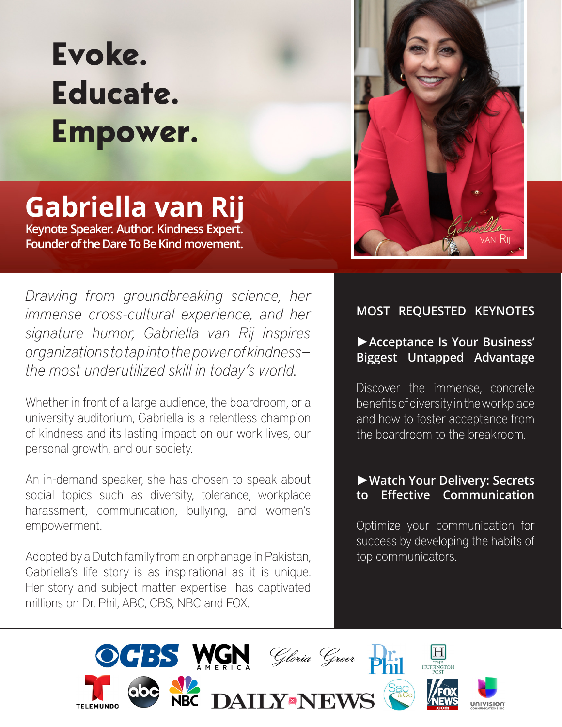# **Evoke. Educate. Empower.**

# **Gabriella van Rij**

**Gabriel – Control – Control – Control – Control – Control – Control – Control – Control – Control – Control – Control – Control – Control – Control – Control – Control – Control – Control – Control – Control – Control – C** Keynote Speaker. Author. Kindness Expert. **Keynote Speaker. Author. Kindness Expert. Founder of the Dare To Be Kind movement.**

*Drawing from groundbreaking science, her immense cross-cultural experience, and her signature humor, Gabriella van Rij inspires organizations to tap into the power of kindness the most underutilized skill in today's world.* 

Whether in front of a large audience, the boardroom, or a university auditorium, Gabriella is a relentless champion of kindness and its lasting impact on our work lives, our personal growth, and our society.

An in-demand speaker, she has chosen to speak about social topics such as diversity, tolerance, workplace harassment, communication, bullying, and women's empowerment.

Adopted by a Dutch family from an orphanage in Pakistan, Gabriella's life story is as inspirational as it is unique. Her story and subject matter expertise has captivated millions on Dr. Phil, ABC, CBS, NBC and FOX.



# **MOST REQUESTED KEYNOTES**

# ►**Acceptance Is Your Business' Biggest Untapped Advantage**

Discover the immense, concrete benefits of diversity in the workplace and how to foster acceptance from the boardroom to the breakroom.

#### ►**Watch Your Delivery: Secrets to Effective Communication**

Optimize your communication for success by developing the habits of top communicators.